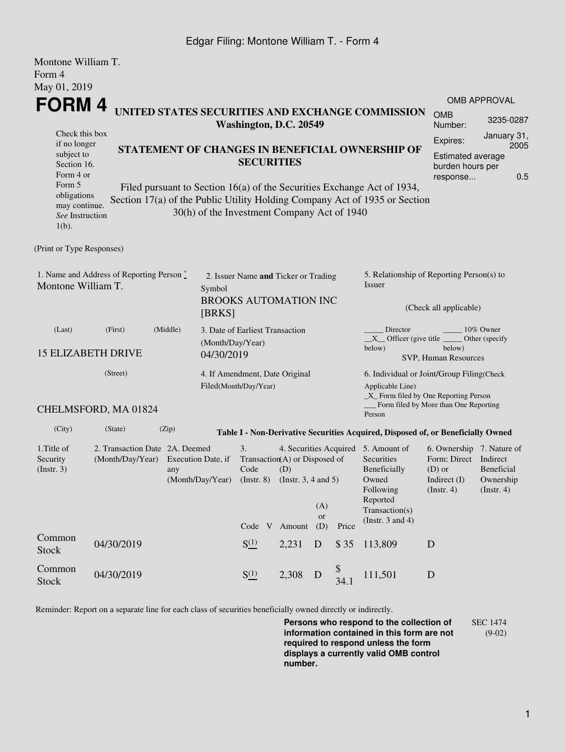## Edgar Filing: Montone William T. - Form 4

| Montone William T.<br>Form 4<br>May 01, 2019                                                 |                                                                            |                                                                                                                                                                                                      |                                                                                            |                                                                                                                                                     |       |                  |                                                                                                                                                                                                                                     |                                                                                  |                                                                                                         |                                  |  |
|----------------------------------------------------------------------------------------------|----------------------------------------------------------------------------|------------------------------------------------------------------------------------------------------------------------------------------------------------------------------------------------------|--------------------------------------------------------------------------------------------|-----------------------------------------------------------------------------------------------------------------------------------------------------|-------|------------------|-------------------------------------------------------------------------------------------------------------------------------------------------------------------------------------------------------------------------------------|----------------------------------------------------------------------------------|---------------------------------------------------------------------------------------------------------|----------------------------------|--|
| FORM 4<br>Check this box                                                                     | UNITED STATES SECURITIES AND EXCHANGE COMMISSION<br>Washington, D.C. 20549 |                                                                                                                                                                                                      |                                                                                            |                                                                                                                                                     |       |                  |                                                                                                                                                                                                                                     |                                                                                  |                                                                                                         | <b>OMB APPROVAL</b><br>3235-0287 |  |
| if no longer<br>subject to<br>Section 16.<br>Form 4 or                                       | STATEMENT OF CHANGES IN BENEFICIAL OWNERSHIP OF<br><b>SECURITIES</b>       |                                                                                                                                                                                                      |                                                                                            |                                                                                                                                                     |       |                  |                                                                                                                                                                                                                                     |                                                                                  | Expires:<br>Estimated average<br>burden hours per<br>response                                           | January 31,<br>2005<br>0.5       |  |
| Form 5<br>obligations<br>may continue.<br>See Instruction<br>$1(b)$ .                        |                                                                            | Filed pursuant to Section 16(a) of the Securities Exchange Act of 1934,<br>Section 17(a) of the Public Utility Holding Company Act of 1935 or Section<br>30(h) of the Investment Company Act of 1940 |                                                                                            |                                                                                                                                                     |       |                  |                                                                                                                                                                                                                                     |                                                                                  |                                                                                                         |                                  |  |
| (Print or Type Responses)                                                                    |                                                                            |                                                                                                                                                                                                      |                                                                                            |                                                                                                                                                     |       |                  |                                                                                                                                                                                                                                     |                                                                                  |                                                                                                         |                                  |  |
| 1. Name and Address of Reporting Person $\degree$<br>Montone William T.<br>Symbol<br>[BRKS]  |                                                                            |                                                                                                                                                                                                      |                                                                                            | 2. Issuer Name and Ticker or Trading<br><b>BROOKS AUTOMATION INC</b>                                                                                |       |                  |                                                                                                                                                                                                                                     | 5. Relationship of Reporting Person(s) to<br>Issuer                              |                                                                                                         |                                  |  |
|                                                                                              |                                                                            |                                                                                                                                                                                                      |                                                                                            |                                                                                                                                                     |       |                  |                                                                                                                                                                                                                                     | (Check all applicable)                                                           |                                                                                                         |                                  |  |
| (Last)<br>(First)<br>(Middle)<br>(Month/Day/Year)<br><b>15 ELIZABETH DRIVE</b><br>04/30/2019 |                                                                            |                                                                                                                                                                                                      | 3. Date of Earliest Transaction<br>4. If Amendment, Date Original<br>Filed(Month/Day/Year) |                                                                                                                                                     |       |                  | Director<br>10% Owner<br>$X$ Officer (give title $\_\_\_\_$ Other (specify<br>below)<br>below)<br>SVP, Human Resources<br>6. Individual or Joint/Group Filing(Check<br>Applicable Line)<br>$\_X$ Form filed by One Reporting Person |                                                                                  |                                                                                                         |                                  |  |
| (Street)                                                                                     |                                                                            |                                                                                                                                                                                                      |                                                                                            |                                                                                                                                                     |       |                  |                                                                                                                                                                                                                                     |                                                                                  |                                                                                                         |                                  |  |
|                                                                                              | CHELMSFORD, MA 01824                                                       |                                                                                                                                                                                                      |                                                                                            |                                                                                                                                                     |       |                  |                                                                                                                                                                                                                                     | Person                                                                           | Form filed by More than One Reporting                                                                   |                                  |  |
| (City)                                                                                       | (State)                                                                    | (Zip)                                                                                                                                                                                                |                                                                                            |                                                                                                                                                     |       |                  |                                                                                                                                                                                                                                     | Table I - Non-Derivative Securities Acquired, Disposed of, or Beneficially Owned |                                                                                                         |                                  |  |
| 1. Title of<br>Security<br>(Insert. 3)                                                       | 2. Transaction Date 2A. Deemed                                             | (Month/Day/Year) Execution Date, if<br>any                                                                                                                                                           |                                                                                            | 4. Securities Acquired 5. Amount of<br>3.<br>Transaction(A) or Disposed of<br>Code<br>(D)<br>(Month/Day/Year) (Instr. 8) (Instr. 3, 4 and 5)<br>(A) |       |                  |                                                                                                                                                                                                                                     | Securities<br>Beneficially<br>Owned<br>Following<br>Reported<br>Transaction(s)   | 6. Ownership 7. Nature of<br>Form: Direct Indirect<br>$(D)$ or<br>Indirect (I) Ownership<br>(Insert. 4) | Beneficial<br>(Insert. 4)        |  |
|                                                                                              |                                                                            |                                                                                                                                                                                                      |                                                                                            | Code V Amount                                                                                                                                       |       | <b>or</b><br>(D) | Price                                                                                                                                                                                                                               | (Instr. $3$ and $4$ )                                                            |                                                                                                         |                                  |  |
| Common<br><b>Stock</b>                                                                       | 04/30/2019                                                                 |                                                                                                                                                                                                      |                                                                                            | $S^{(1)}_{-}$                                                                                                                                       | 2,231 | D                | \$35                                                                                                                                                                                                                                | 113,809                                                                          | $\mathbf D$                                                                                             |                                  |  |
| Common<br><b>Stock</b>                                                                       | 04/30/2019                                                                 |                                                                                                                                                                                                      |                                                                                            | $S^{(1)}_{-}$                                                                                                                                       | 2,308 | D                | \$<br>34.1                                                                                                                                                                                                                          | 111,501                                                                          | D                                                                                                       |                                  |  |

Reminder: Report on a separate line for each class of securities beneficially owned directly or indirectly.

**Persons who respond to the collection of information contained in this form are not required to respond unless the form displays a currently valid OMB control number.** SEC 1474 (9-02)